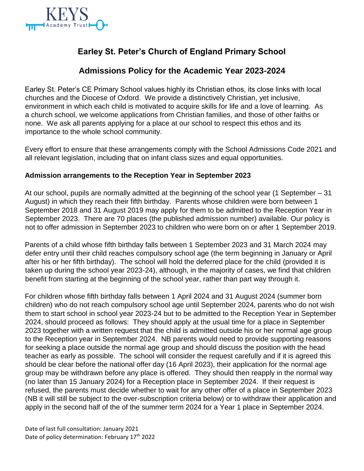

# **Earley St. Peter's Church of England Primary School**

## **Admissions Policy for the Academic Year 2023-2024**

Earley St. Peter's CE Primary School values highly its Christian ethos, its close links with local churches and the Diocese of Oxford. We provide a distinctively Christian, yet inclusive, environment in which each child is motivated to acquire skills for life and a love of learning. As a church school, we welcome applications from Christian families, and those of other faiths or none. We ask all parents applying for a place at our school to respect this ethos and its importance to the whole school community.

Every effort to ensure that these arrangements comply with the School Admissions Code 2021 and all relevant legislation, including that on infant class sizes and equal opportunities.

#### **Admission arrangements to the Reception Year in September 2023**

At our school, pupils are normally admitted at the beginning of the school year (1 September – 31 August) in which they reach their fifth birthday. Parents whose children were born between 1 September 2018 and 31 August 2019 may apply for them to be admitted to the Reception Year in September 2023. There are 70 places (the published admission number) available. Our policy is not to offer admission in September 2023 to children who were born on or after 1 September 2019.

Parents of a child whose fifth birthday falls between 1 September 2023 and 31 March 2024 may defer entry until their child reaches compulsory school age (the term beginning in January or April after his or her fifth birthday). The school will hold the deferred place for the child (provided it is taken up during the school year 2023-24), although, in the majority of cases, we find that children benefit from starting at the beginning of the school year, rather than part way through it.

For children whose fifth birthday falls between 1 April 2024 and 31 August 2024 (summer born children) who do not reach compulsory school age until September 2024, parents who do not wish them to start school in school year 2023-24 but to be admitted to the Reception Year in September 2024, should proceed as follows: They should apply at the usual time for a place in September 2023 together with a written request that the child is admitted outside his or her normal age group to the Reception year in September 2024. NB parents would need to provide supporting reasons for seeking a place outside the normal age group and should discuss the position with the head teacher as early as possible. The school will consider the request carefully and if it is agreed this should be clear before the national offer day (16 April 2023), their application for the normal age group may be withdrawn before any place is offered. They should then reapply in the normal way (no later than 15 January 2024) for a Reception place in September 2024. If their request is refused, the parents must decide whether to wait for any other offer of a place in September 2023 (NB it will still be subject to the over-subscription criteria below) or to withdraw their application and apply in the second half of the of the summer term 2024 for a Year 1 place in September 2024.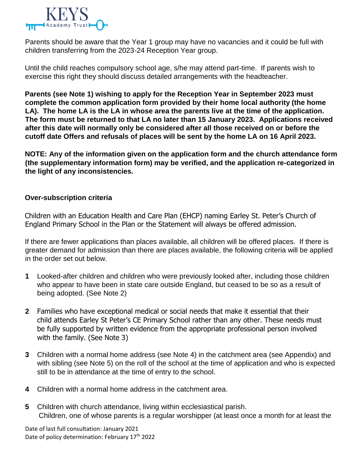

Parents should be aware that the Year 1 group may have no vacancies and it could be full with children transferring from the 2023-24 Reception Year group.

Until the child reaches compulsory school age, s/he may attend part-time. If parents wish to exercise this right they should discuss detailed arrangements with the headteacher.

**Parents (see Note 1) wishing to apply for the Reception Year in September 2023 must complete the common application form provided by their home local authority (the home LA). The home LA is the LA in whose area the parents live at the time of the application. The form must be returned to that LA no later than 15 January 2023. Applications received after this date will normally only be considered after all those received on or before the cutoff date Offers and refusals of places will be sent by the home LA on 16 April 2023.** 

**NOTE: Any of the information given on the application form and the church attendance form (the supplementary information form) may be verified, and the application re-categorized in the light of any inconsistencies.** 

#### **Over-subscription criteria**

Children with an Education Health and Care Plan (EHCP) naming Earley St. Peter's Church of England Primary School in the Plan or the Statement will always be offered admission.

If there are fewer applications than places available, all children will be offered places. If there is greater demand for admission than there are places available, the following criteria will be applied in the order set out below.

- **1** Looked-after children and children who were previously looked after, including those children who appear to have been in state care outside England, but ceased to be so as a result of being adopted. (See Note 2)
- **2** Families who have exceptional medical or social needs that make it essential that their child attends Earley St Peter's CE Primary School rather than any other. These needs must be fully supported by written evidence from the appropriate professional person involved with the family. (See Note 3)
- **3** Children with a normal home address (see Note 4) in the catchment area (see Appendix) and with sibling (see Note 5) on the roll of the school at the time of application and who is expected still to be in attendance at the time of entry to the school.
- **4** Children with a normal home address in the catchment area.
- **5** Children with church attendance, living within ecclesiastical parish. Children, one of whose parents is a regular worshipper (at least once a month for at least the

Date of last full consultation: January 2021 Date of policy determination: February 17<sup>th</sup> 2022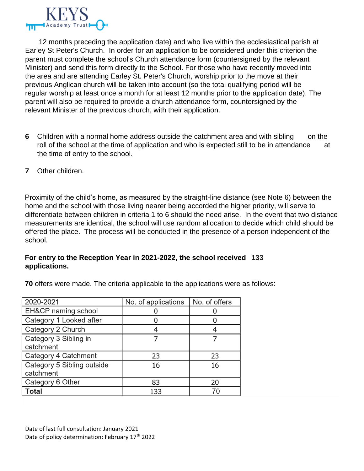

 12 months preceding the application date) and who live within the ecclesiastical parish at Earley St Peter's Church. In order for an application to be considered under this criterion the parent must complete the school's Church attendance form (countersigned by the relevant Minister) and send this form directly to the School. For those who have recently moved into the area and are attending Earley St. Peter's Church, worship prior to the move at their previous Anglican church will be taken into account (so the total qualifying period will be regular worship at least once a month for at least 12 months prior to the application date). The parent will also be required to provide a church attendance form, countersigned by the relevant Minister of the previous church, with their application.

- **6** Children with a normal home address outside the catchment area and with sibling on the roll of the school at the time of application and who is expected still to be in attendance at the time of entry to the school.
- **7** Other children.

Proximity of the child's home, as measured by the straight-line distance (see Note 6) between the home and the school with those living nearer being accorded the higher priority, will serve to differentiate between children in criteria 1 to 6 should the need arise. In the event that two distance measurements are identical, the school will use random allocation to decide which child should be offered the place. The process will be conducted in the presence of a person independent of the school.

#### **For entry to the Reception Year in 2021-2022, the school received 133 applications.**

**70** offers were made. The criteria applicable to the applications were as follows:

| 2020-2021                               | No. of applications | No. of offers |
|-----------------------------------------|---------------------|---------------|
| EH&CP naming school                     |                     |               |
| Category 1 Looked after                 |                     |               |
| Category 2 Church                       |                     |               |
| Category 3 Sibling in<br>catchment      |                     |               |
| Category 4 Catchment                    | 23                  | 23            |
| Category 5 Sibling outside<br>catchment | 16                  | 16            |
| Category 6 Other                        | 83                  | 20            |
| Total                                   | 133                 | 70            |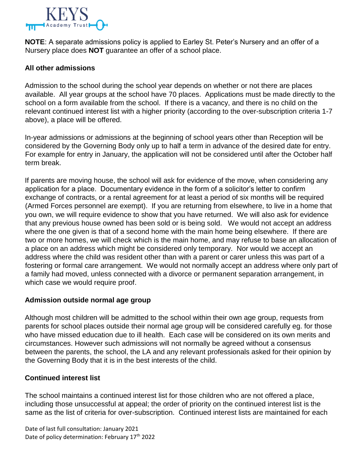

**NOTE**: A separate admissions policy is applied to Earley St. Peter's Nursery and an offer of a Nursery place does **NOT** guarantee an offer of a school place.

#### **All other admissions**

Admission to the school during the school year depends on whether or not there are places available. All year groups at the school have 70 places. Applications must be made directly to the school on a form available from the school. If there is a vacancy, and there is no child on the relevant continued interest list with a higher priority (according to the over-subscription criteria 1-7 above), a place will be offered.

In-year admissions or admissions at the beginning of school years other than Reception will be considered by the Governing Body only up to half a term in advance of the desired date for entry. For example for entry in January, the application will not be considered until after the October half term break.

If parents are moving house, the school will ask for evidence of the move, when considering any application for a place. Documentary evidence in the form of a solicitor's letter to confirm exchange of contracts, or a rental agreement for at least a period of six months will be required (Armed Forces personnel are exempt). If you are returning from elsewhere, to live in a home that you own, we will require evidence to show that you have returned. We will also ask for evidence that any previous house owned has been sold or is being sold. We would not accept an address where the one given is that of a second home with the main home being elsewhere. If there are two or more homes, we will check which is the main home, and may refuse to base an allocation of a place on an address which might be considered only temporary. Nor would we accept an address where the child was resident other than with a parent or carer unless this was part of a fostering or formal care arrangement. We would not normally accept an address where only part of a family had moved, unless connected with a divorce or permanent separation arrangement, in which case we would require proof.

#### **Admission outside normal age group**

Although most children will be admitted to the school within their own age group, requests from parents for school places outside their normal age group will be considered carefully eg. for those who have missed education due to ill health. Each case will be considered on its own merits and circumstances. However such admissions will not normally be agreed without a consensus between the parents, the school, the LA and any relevant professionals asked for their opinion by the Governing Body that it is in the best interests of the child.

#### **Continued interest list**

The school maintains a continued interest list for those children who are not offered a place, including those unsuccessful at appeal; the order of priority on the continued interest list is the same as the list of criteria for over-subscription. Continued interest lists are maintained for each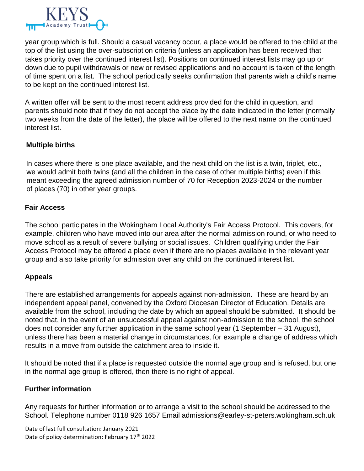

year group which is full. Should a casual vacancy occur, a place would be offered to the child at the top of the list using the over-subscription criteria (unless an application has been received that takes priority over the continued interest list). Positions on continued interest lists may go up or down due to pupil withdrawals or new or revised applications and no account is taken of the length of time spent on a list. The school periodically seeks confirmation that parents wish a child's name to be kept on the continued interest list.

A written offer will be sent to the most recent address provided for the child in question, and parents should note that if they do not accept the place by the date indicated in the letter (normally two weeks from the date of the letter), the place will be offered to the next name on the continued interest list.

#### **Multiple births**

In cases where there is one place available, and the next child on the list is a twin, triplet, etc., we would admit both twins (and all the children in the case of other multiple births) even if this meant exceeding the agreed admission number of 70 for Reception 2023-2024 or the number of places (70) in other year groups.

#### **Fair Access**

The school participates in the Wokingham Local Authority's Fair Access Protocol. This covers, for example, children who have moved into our area after the normal admission round, or who need to move school as a result of severe bullying or social issues. Children qualifying under the Fair Access Protocol may be offered a place even if there are no places available in the relevant year group and also take priority for admission over any child on the continued interest list.

#### **Appeals**

There are established arrangements for appeals against non-admission. These are heard by an independent appeal panel, convened by the Oxford Diocesan Director of Education. Details are available from the school, including the date by which an appeal should be submitted. It should be noted that, in the event of an unsuccessful appeal against non-admission to the school, the school does not consider any further application in the same school year (1 September – 31 August), unless there has been a material change in circumstances, for example a change of address which results in a move from outside the catchment area to inside it.

It should be noted that if a place is requested outside the normal age group and is refused, but one in the normal age group is offered, then there is no right of appeal.

#### **Further information**

Any requests for further information or to arrange a visit to the school should be addressed to the School. Telephone number 0118 926 1657 Email admissions@earley-st-peters.wokingham.sch.uk

Date of last full consultation: January 2021 Date of policy determination: February 17<sup>th</sup> 2022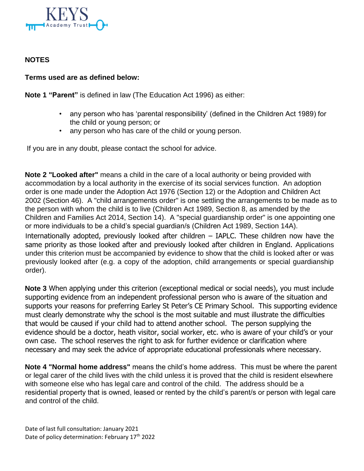

### **NOTES**

#### **Terms used are as defined below:**

**Note 1 "Parent"** is defined in law (The Education Act 1996) as either:

- any person who has 'parental responsibility' (defined in the Children Act 1989) for the child or young person; or
- any person who has care of the child or young person.

If you are in any doubt, please contact the school for advice.

**Note 2 "Looked after"** means a child in the care of a local authority or being provided with accommodation by a local authority in the exercise of its social services function. An adoption order is one made under the Adoption Act 1976 (Section 12) or the Adoption and Children Act 2002 (Section 46). A "child arrangements order" is one settling the arrangements to be made as to the person with whom the child is to live (Children Act 1989, Section 8, as amended by the Children and Families Act 2014, Section 14). A "special guardianship order" is one appointing one or more individuals to be a child's special guardian/s (Children Act 1989, Section 14A).

Internationally adopted, previously looked after children – IAPLC. These children now have the same priority as those looked after and previously looked after children in England. Applications under this criterion must be accompanied by evidence to show that the child is looked after or was previously looked after (e.g. a copy of the adoption, child arrangements or special guardianship order).

**Note 3** When applying under this criterion (exceptional medical or social needs), you must include supporting evidence from an independent professional person who is aware of the situation and supports your reasons for preferring Earley St Peter's CE Primary School. This supporting evidence must clearly demonstrate why the school is the most suitable and must illustrate the difficulties that would be caused if your child had to attend another school. The person supplying the evidence should be a doctor, heath visitor, social worker, etc. who is aware of your child's or your own case. The school reserves the right to ask for further evidence or clarification where necessary and may seek the advice of appropriate educational professionals where necessary.

**Note 4 "Normal home address"** means the child's home address. This must be where the parent or legal carer of the child lives with the child unless it is proved that the child is resident elsewhere with someone else who has legal care and control of the child. The address should be a residential property that is owned, leased or rented by the child's parent/s or person with legal care and control of the child.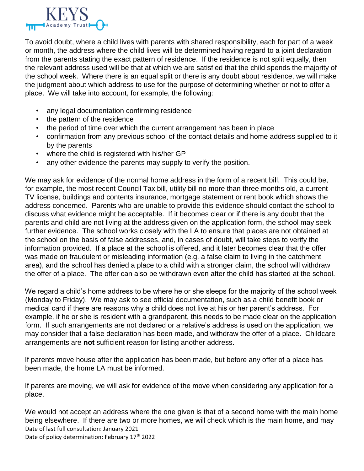

To avoid doubt, where a child lives with parents with shared responsibility, each for part of a week or month, the address where the child lives will be determined having regard to a joint declaration from the parents stating the exact pattern of residence. If the residence is not split equally, then the relevant address used will be that at which we are satisfied that the child spends the majority of the school week. Where there is an equal split or there is any doubt about residence, we will make the judgment about which address to use for the purpose of determining whether or not to offer a place. We will take into account, for example, the following:

- any legal documentation confirming residence
- the pattern of the residence
- the period of time over which the current arrangement has been in place
- confirmation from any previous school of the contact details and home address supplied to it by the parents
- where the child is registered with his/her GP
- any other evidence the parents may supply to verify the position.

We may ask for evidence of the normal home address in the form of a recent bill. This could be, for example, the most recent Council Tax bill, utility bill no more than three months old, a current TV license, buildings and contents insurance, mortgage statement or rent book which shows the address concerned. Parents who are unable to provide this evidence should contact the school to discuss what evidence might be acceptable. If it becomes clear or if there is any doubt that the parents and child are not living at the address given on the application form, the school may seek further evidence. The school works closely with the LA to ensure that places are not obtained at the school on the basis of false addresses, and, in cases of doubt, will take steps to verify the information provided. If a place at the school is offered, and it later becomes clear that the offer was made on fraudulent or misleading information (e.g. a false claim to living in the catchment area), and the school has denied a place to a child with a stronger claim, the school will withdraw the offer of a place. The offer can also be withdrawn even after the child has started at the school.

We regard a child's home address to be where he or she sleeps for the majority of the school week (Monday to Friday). We may ask to see official documentation, such as a child benefit book or medical card if there are reasons why a child does not live at his or her parent's address. For example, if he or she is resident with a grandparent, this needs to be made clear on the application form. If such arrangements are not declared or a relative's address is used on the application, we may consider that a false declaration has been made, and withdraw the offer of a place. Childcare arrangements are **not** sufficient reason for listing another address.

If parents move house after the application has been made, but before any offer of a place has been made, the home LA must be informed.

If parents are moving, we will ask for evidence of the move when considering any application for a place.

Date of last full consultation: January 2021 Date of policy determination: February 17<sup>th</sup> 2022 We would not accept an address where the one given is that of a second home with the main home being elsewhere. If there are two or more homes, we will check which is the main home, and may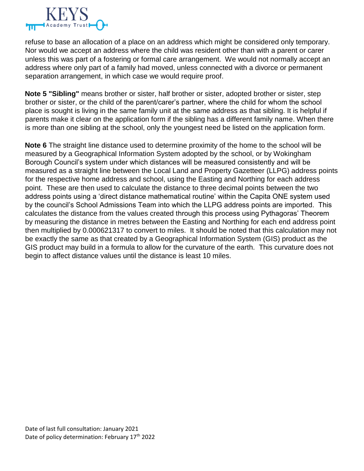

refuse to base an allocation of a place on an address which might be considered only temporary. Nor would we accept an address where the child was resident other than with a parent or carer unless this was part of a fostering or formal care arrangement. We would not normally accept an address where only part of a family had moved, unless connected with a divorce or permanent separation arrangement, in which case we would require proof.

**Note 5 "Sibling"** means brother or sister, half brother or sister, adopted brother or sister, step brother or sister, or the child of the parent/carer's partner, where the child for whom the school place is sought is living in the same family unit at the same address as that sibling. It is helpful if parents make it clear on the application form if the sibling has a different family name. When there is more than one sibling at the school, only the youngest need be listed on the application form.

**Note 6** The straight line distance used to determine proximity of the home to the school will be measured by a Geographical Information System adopted by the school, or by Wokingham Borough Council's system under which distances will be measured consistently and will be measured as a straight line between the Local Land and Property Gazetteer (LLPG) address points for the respective home address and school, using the Easting and Northing for each address point. These are then used to calculate the distance to three decimal points between the two address points using a 'direct distance mathematical routine' within the Capita ONE system used by the council's School Admissions Team into which the LLPG address points are imported. This calculates the distance from the values created through this process using Pythagoras' Theorem by measuring the distance in metres between the Easting and Northing for each end address point then multiplied by 0.000621317 to convert to miles. It should be noted that this calculation may not be exactly the same as that created by a Geographical Information System (GIS) product as the GIS product may build in a formula to allow for the curvature of the earth. This curvature does not begin to affect distance values until the distance is least 10 miles.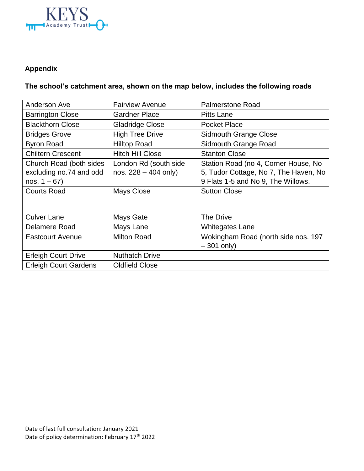

### **Appendix**

## **The school's catchment area, shown on the map below, includes the following roads**

| Anderson Ave                                                                                | <b>Fairview Avenue</b>                                               | <b>Palmerstone Road</b>                                                                                                                    |
|---------------------------------------------------------------------------------------------|----------------------------------------------------------------------|--------------------------------------------------------------------------------------------------------------------------------------------|
| <b>Barrington Close</b>                                                                     | <b>Gardner Place</b>                                                 | Pitts Lane                                                                                                                                 |
| <b>Blackthorn Close</b>                                                                     | <b>Gladridge Close</b>                                               | <b>Pocket Place</b>                                                                                                                        |
| <b>Bridges Grove</b>                                                                        | <b>High Tree Drive</b>                                               | <b>Sidmouth Grange Close</b>                                                                                                               |
| <b>Byron Road</b>                                                                           | <b>Hilltop Road</b>                                                  | Sidmouth Grange Road                                                                                                                       |
| <b>Chiltern Crescent</b>                                                                    | <b>Hitch Hill Close</b>                                              | <b>Stanton Close</b>                                                                                                                       |
| Church Road (both sides<br>excluding no.74 and odd<br>nos. $1 - 67$ )<br><b>Courts Road</b> | London Rd (south side<br>nos. $228 - 404$ only)<br><b>Mays Close</b> | Station Road (no 4, Corner House, No<br>5, Tudor Cottage, No 7, The Haven, No<br>9 Flats 1-5 and No 9, The Willows.<br><b>Sutton Close</b> |
| <b>Culver Lane</b>                                                                          | Mays Gate                                                            | The Drive                                                                                                                                  |
| Delamere Road                                                                               | Mays Lane                                                            | <b>Whitegates Lane</b>                                                                                                                     |
| <b>Eastcourt Avenue</b>                                                                     | <b>Milton Road</b>                                                   | Wokingham Road (north side nos. 197<br>$-301$ only)                                                                                        |
| <b>Erleigh Court Drive</b>                                                                  | <b>Nuthatch Drive</b>                                                |                                                                                                                                            |
| <b>Erleigh Court Gardens</b>                                                                | <b>Oldfield Close</b>                                                |                                                                                                                                            |